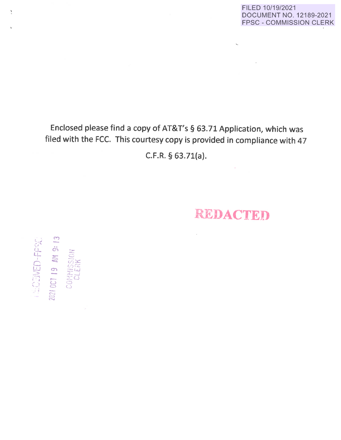FILED 10/19/2021 DOCUMENT NO. 12189-2021 FPSC - COMMISSION CLERK

# Enclosed please find a copy of AT&T's § 63.71 Application, which was filed with the FCC. This courtesy copy is provided in compliance with 47 C.F.R. § 63.71(a}.

•

ţ

*:.. .. J (J"'* 

**M**  -<br>--<br>25

 $\ddot{\sigma}$  :::::

**01 19 AM**<br>ONAMISSIO<br>CLERK

 $\omega$  . ( \_)

 $c$ 

NED-FP

 $\overline{\mathbb{S}}$  . *!* 

# **REDACTED**

 $\sim$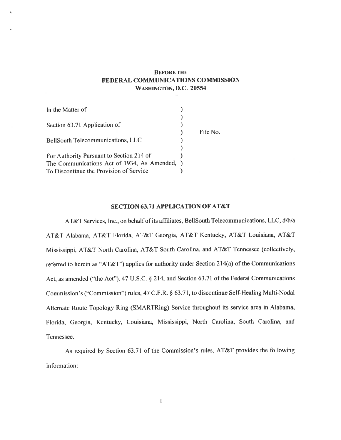# **BEFORE THE FEDERAL COMMUNICATIONS COMMISSION WASHINGTON, D.C. 20554**

| In the Matter of                              |          |
|-----------------------------------------------|----------|
|                                               |          |
| Section 63.71 Application of                  |          |
|                                               | File No. |
| BellSouth Telecommunications, LLC             |          |
|                                               |          |
| For Authority Pursuant to Section 214 of      |          |
| The Communications Act of 1934, As Amended, ) |          |
| To Discontinue the Provision of Service       |          |

#### **SECTION 63.71 APPLICATION OF AT&T**

AT&T Services, Inc., on behalf of its affiliates, BellSouth Telecommunications, LLC, d/b/a AT&T Alabama, AT&T Florida, AT&T Georgia, AT&T Kentucky, AT&T Louisiana, AT&T Mississippi, AT&T North Carolina, AT&T South Carolina, and AT&T Tennessee (collectively, referred to herein as ''AT&T") applies for authority under Section 214(a) of the Communications Act, as amended ("the Act"), 47 U.S.C. § 214, and Section 63.71 of the Federal Communications Commission's ("Commission") rules, 47 C.F.R. § 63.71, to discontinue Self-Healing Multi-Nodal Alternate Route Topology Ring (SMARTRing) Service throughout its service area in Alabama, Florida, Georgia, Kentucky, Louisiana, Mississippi, North Carolina, South Carolina, and Tennessee.

As required by Section 63.71 of the Commission's rules, AT&T provides the following information: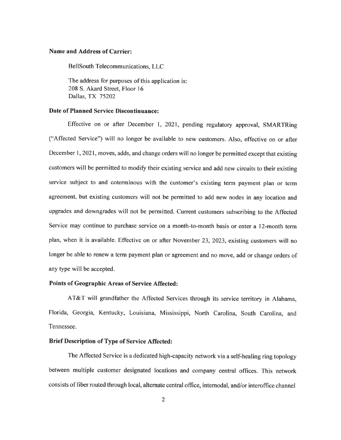#### **Name and Address of Carrier:**

BellSouth Telecommunications, LLC

The address for purposes of this application is: 208 S. Akard Street, Floor 16 Dallas, TX 75202

#### **Date of Planned Service Discontinuance:**

Effective on or after December 1, 2021, pending regulatory approval, SMARTRing ("Affected Service") will no longer be available to new customers. Also, effective on or after December 1, 2021, moves, adds, and change orders will no longer be permitted except that existing customers will be permitted to modify their existing service and add new circuits to their existing service subject to and coterminous with the customer's existing term payment plan or term agreement, but existing customers will not be permitted to add new nodes in any location and upgrades and downgrades will not be permitted. Current customers subscribing to the Affected Service may continue to purchase service on a month-to-month basis or enter a 12-month term <sup>p</sup>lan, when it is available. Effective on or after November 23, 2023, existing customers will no longer be able to renew a term payment plan or agreement and no move, add or change orders of any type will be accepted.

#### **Points of Geographic Areas of Service Affected:**

AT&T will grandfather the Affected Services through its service territory in Alabama, Florida, Georgia, Kentucky, Louisiana, Mississippi, North Carolina, South Carolina, and Tennessee.

## **Brief Description of Type of Service Affected:**

The Affected Service is a dedicated high-capacity network via a self-healing ring topology between multiple customer designated locations and company central offices. This network consists of fiber routed through local, alternate central office, intemodal, and/or interoffice channel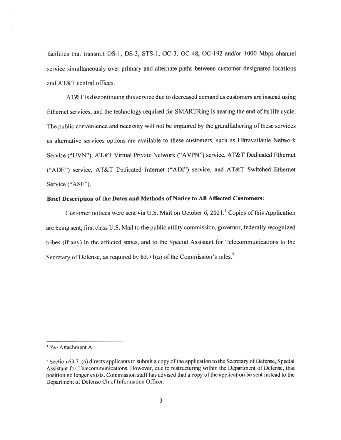facilities that transmit DS-1, DS-3, STS-1, OC-3, OC-48, OC-192 and/or I 000 Mbps channel service simultaneously over primary and alternate paths between customer designated locations and AT&T central offices.

AT&T is discontinuing this service due to decreased demand as customers are instead using Ethernet services, and the technology required for SMARTRing is nearing the end of its life cycle. The public convenience and necessity will not be impaired by the grandfathering of these services as alternative services options are available to these customers, such as Ultravailable Network Service ("UVN"), AT&T Virtual Private Network ("A VPN") service, AT&T Dedicated Ethernet (''ADE") service, AT&T Dedicated Internet ("ADI") service, and AT&T Switched Ethernet Service ("ASE").

#### **Brief Description of the Dates and Methods of Notice to All Affected Customers:**

Customer notices were sent via U.S. Mail on October 6, 2021.<sup>1</sup> Copies of this Application are being sent, first class U.S. Mail to the public utility commission, governor, federally recognized tribes (if any) in the affected states, and to the Special Assistant for Telecommunications to the Secretary of Defense, as required by  $63.71(a)$  of the Commission's rules.<sup>2</sup>

<sup>1</sup>*See* Attachment A.

<sup>&</sup>lt;sup>2</sup> Section 63.71(a) directs applicants to submit a copy of the application to the Secretary of Defense, Special Assistant for Telecommunications. However, due to restructuring within the Department of Defense, that position no longer exists. Commission staff has advised that a copy of the application be sent instead to the Department of Defense Chief Information Officer.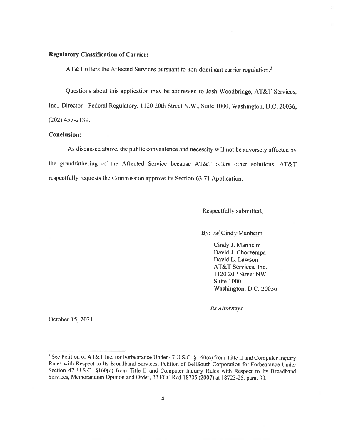### **Regulatory Classification of Carrier:**

AT&T offers the Affected Services pursuant to non-dominant carrier regulation.<sup>3</sup>

Questions about this application may be addressed to Josh Woodbridge, AT&T Services, Inc., Director - Federal Regulatory, 1120 20th Street **N.W.,** Suite 1000, Washington, D.C. 20036, (202) 457-2139.

## **Conclusion:**

As discussed above, the public convenience and necessity will not be adversely affected by the grandfathering of the Affected Service because AT&T offers other solutions. AT&T respectfully requests the Commission approve its Section 63.71 Application.

Respectfully submitted,

By: *Isl* Cindy Manheim

Cindy J. Manheim David J. Chorzempa David L. Lawson AT&T Services, Inc. 1120 20<sup>th</sup> Street NW Suite 1000 Washington, D.C. 20036

*Its Attorneys* 

October 15, 2021

<sup>&</sup>lt;sup>3</sup> See Petition of AT&T Inc. for Forbearance Under 47 U.S.C. § 160(c) from Title II and Computer Inquiry Rules with Respect to Its Broadband Services; Petition of BellSouth Corporation for Forbearance Under Section 47 U.S.C. §160(c) from Title II and Computer Inquiry Rules with Respect to Its Broadband Services, Memorandum Opinion and Order, 22 FCC Red 18705 (2007) at 18723-25, para. 30.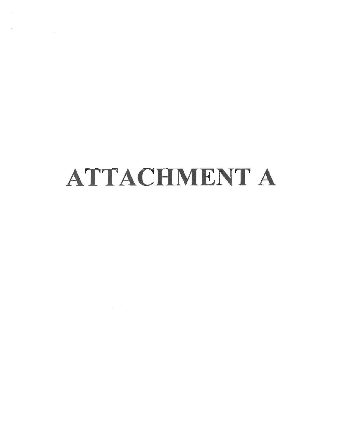# ATTACHMENT A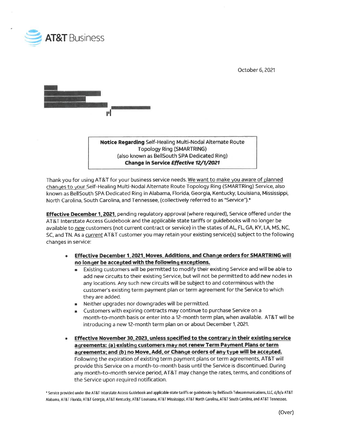

October 6, 2021



**Notice Regarding** Self-Healing Multi~Nodal Alternate Route Topology Ring (SMARTRING) (also known as BellSouth SPA Dedicated Ring) **Change in Service Effective 12/1/2021** 

Thank you for using AT&T for your business service needs. We want to make you aware of planned changes to your Self-Healing Multi-Nodal Alternate Route Topology Ring (SMARTRing) Service, also known as BellSouth SPA Dedicated Ring in Alabama, Florida, Georgia, Kentucky, Louisiana, Mississippi, North Carolina, South Carolina, and Tennessee, (collectively referred to as "Service").\*

**Effective December 1. 2021,** pending regulatory approval (where required), Service offered under the AT&T Interstate Access Guidebook and the applicable state tariffs or guidebooks will no longer be available to *new* customers (not current contract or service) in the states of AL, FL, GA, KY, LA, MS, NC, SC, and TN. As a *current* AT&T customer you may retain your existing service(s) subject to the following changes in service:

- **Effective December 1, 2021, Moves, Additions, and Change orders for SMARTRING will no longer be accepted with the following exceptions.** 
	- Existing customers will be permitted to modify their existing Service and will be able to add new circuits to their existing Service, but will not be permitted to add new nodes in any locations. Any such new circuits will be subject to and coterminous with the customer's existing term payment plan or term agreement for the Service to which they are added.
	- Neither upgrades nor downgrades will be permitted.
	- Customers with expiring contracts may continue to purchase Service on a month-to-month basis or enter into a 12-month term plan, when available. AT&T will be introducing a new 12-month term plan on or about December 1, 2021.
- **Effective November 30, 2023, unless specified to the contrary in their existing service agreements: (al existing customers may not renew Term Payment Plans or term agreements: and (b} no Move. Add. or Change orders of any t ype will be accepted.**  Following the expiration of existing term payment plans or term agreements, AT&T will provide this Service on a month-to-month basis until the Service is discontinued. During any month-to-month service period, AT&T may change the rates, terms, and conditions of the Service upon required notification.

• Service provided under the AT&T Interstate Access Guidebook and applicable state tariffs or guidebooks by BellSouth Telecommunications, LLC, d/b/a AT&T Alabama, AT&T Florida, AT&T Georgia, AT&T Kentucky, AT&T Louisiana, AT&T Mississippi, AT&T North Carolina, AT&T South Carolina, and AT&T Tennessee.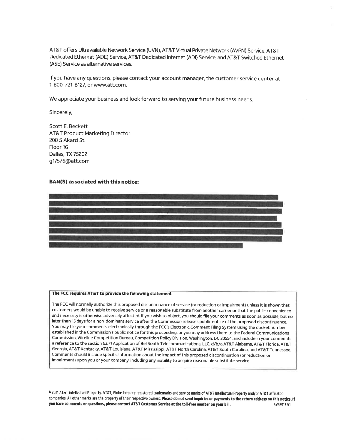AT&T offers Ultravailable Network Service (UVN), AT&T Virtual Private Network (AVPN) Service, AT&T Dedicated Ethernet (ADE) Service, AT&T Dedicated Internet (ADI) Service, and AT&T Switched Ethernet (ASE) Service as alternative services.

If you have any questions, please contact your account manager, the customer service center at 1-800-721-8127, or www.att.com.

We appreciate your business and look forward to serving your future business needs.

Sincerely,

Scott E. Beckett AT&T Product Marketing Director 208 S Akard St. Floor 16 Dallas, TX 75202 g17576@att.com

#### **BAN(S) associated with this notice:**



#### **The FCC requires AT&T to provide the following statement:**

The FCC will normally authorize this proposed discontinuance of service (or reduction or impairment) unless it is shown that customers would be unable to receive service or a reasonable substitute from another carrier or that the public convenience and necessity is otherwise adversely affected. If you wish to object, you should file your comments as soon as possible, but no later than 15 days for a non dominant service after the Commission releases public notice of the proposed discontinuance. You may file your comments electronically through the FCC's Electronic Comment Filing System using the docket number established in the Commission's public notice for this proceeding, or you may address them to the Federal Communications Commission, Wireline Competition Bureau, Competition Policy Division, Washington, DC 20554, and include in your comments a reference to the section 63.71 Application of BellSouth Telecommunications, LLC, d/b/a AT&T Alabama, AT&T Florida, AT&T Georgia, AT&T Kentucky, AT&T Louisiana, AT&T Mississippi, AT&T North Carolina, AT&T South Carolina, and AT&T Tennessee. Comments should include specific information about the impact of this proposed discontinuation (or reduction or impairment) upon you or your company, including any inability to acquire reasonable substitute service.

**Cl** 2021 AT&T Intellectual Property. AT&T, Globe logo are registered trademarks and service marks of AT&T Intellectual Property and/or AT&T affiliated companies. All other marks are the property of their respective owners. Please do not send inquiries or payments to the return address on this notice. If you have comments or questions, please contact AT&T Customer Service at the toll-free number on your bill. SYS8915 V1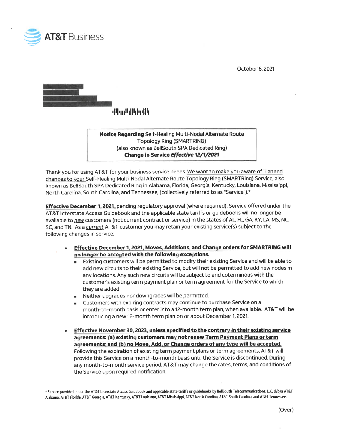

October 6, 2021



**•111•111••111•11<sup>1</sup> 11 1111** 

**Notice Regarding** Self~Healing Multi-Nodal Alternate Route Topology Ring (SMARTRING) (also known as BellSouth SPA Dedicated Ring) **Change In Service Effective 12/1/2021** 

Thank you for using AT&T for your business service needs. We want to make you aware of planned changes to your Self-Healing Multi-Nodal Alternate Route Topology Ring (SMARTRing) Service, also known as BellSouth SPA Dedicated Ring in Alabama, Florida, Georgia, Kentucky, Louisiana, Mississippi, North Carolina, South Carolina, and Tennessee, (collectively referred to as "Service").\*

**Effective December 1, 2021,** pending regulatory approval (where required), Service offered under the AT&T Interstate Access Guidebook and the applicable state tariffs or guidebooks will no longer be available to *new* customers (not current contract or service) in the states of AL, FL, GA, KY, LA, MS, NC, SC, and TN. As a *current* AT&T customer you may retain your existing service(s) subject to the following changes in service:

- **Effective December 1, 2021. Moves. Additions. and Change orders for SMARTRING will no longer be accepted with the following exceptions.** 
	- Existing customers will be permitted to modify their existing Service and will be able to add new circuits to their existing Service, but will not be permitted to add new nodes in any locations. Any such new circuits will be subject to and coterminous with the customer's existing term payment plan or term agreement for the Service to which they are added.
	- Neither upgrades nor downgrades will be permitted.
	- Customers with expiring contracts may continue to purchase Service on a month-to-month basis or enter into a 12-month term plan, when available. AT&T will be introducing a new 12-month term plan on or about December 1, 2021.
- **Effective November 30. 2023. unless specified to the contrary in their existing service agreements: (a) existing customers may not renew Term Payment Plans or term agreements: and (b) no Move, Add, or Change orders of any t ype will be accepted.**  Following the expiration of existing term payment plans or term agreements, AT&T will provide this Service on a month-to-month basis until the Service is discontinued. During any month-to-month service period, AT&T may change the rates, terms, and conditions of the Service upon required notification.

• Service provided under the AT&T Interstate Access Guidebook and applicable state tariffs or guidebooks by BellSouth Telecommunications, LLC, d/b/a AT&T Alabama, AT&T Florida, AT&T Georgia, AT&T Kentucky, AT&T Louisiana, AT&T Mississippi, AT&T North Carolina, AT&T South Carolina, and AT&T Tennessee.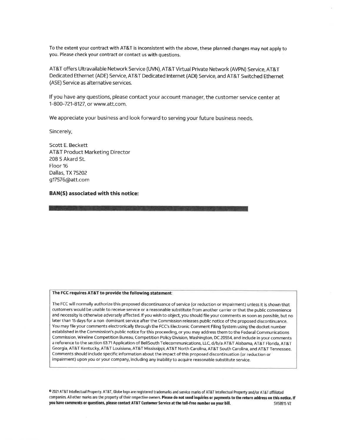To the extent your contract with AT&T is inconsistent with the above, these planned changes may not apply to you. Please check your contract or contact us **with** questions.

AT&T offers Ultravailable Network Service (UVN), AT&T Virtual Private Network (AVPN) Service, AT&T Dedicated Ethernet (ADE) Service, AT&T Dedicated Internet (ADI) Service, and AT&T Switched Ethernet (ASE) Service as alternative services.

If you have any questions, please contact your account manager, the customer service center at 1-800-721-8127, or www.att.com.

We appreciate your business and look forward to serving your future business needs.

Sincerely,

Scott E. Beckett AT&T Product Marketing Director 208 S Akard St. Floor 16 Dallas, TX 75202 g17576@att.com

#### **BAN{S) associated with this notice:**

#### **The FCC requires AT&T to provide the following statement:**

The FCC will normally authorize this proposed discontinuance of service (or reduction or impairment) unless it is shown that customers would be unable to receive service or a reasonable substitute from another carrier or that the public convenience and necessity is otherwise adversely affected. If you wish to object, you should file your comments as soon as possible, but no later than 15 days for a non dominant service after the Commission releases public notice of the proposed discontinuance. You may file your comments electronically through the FCC's Electronic Comment Filing System using the docket number established in the Commission's public notice for this proceeding, or you may address them to the Federal Communications Commission, Wireline Competition Bureau, Competition Policy Division, Washington, DC 20554, and include in your comments a reference to the section 63.71 Application of BellSouth Telecommunications, LLC, d/b/a AT&T Alabama, AT&T Florida, AT&T Georgia, AT&T Kentucky, AT&T Louisiana, AT&T Mississippi, AT&T North Carolina, AT&T South Carolina, and AT&T Tennessee. Comments should include specific information about the impact of this proposed discontinuation (or reduction or impairment) upon you or your company, including any inability to acquire reasonable substitute service.

<sup>0</sup>2021 AT&T Intellectual Property. AT&T, Globe logo are registered trademarks and service marks of AT&T Intellectual Property and/or AT&T affiliated companies. All other marks are the property of their respective owners. Please do not send inquiries or payments to the return address on this notice. If you have comments or questions, please contact AT&T Customer Service at the toll-free number on your bill. Sys8915 V2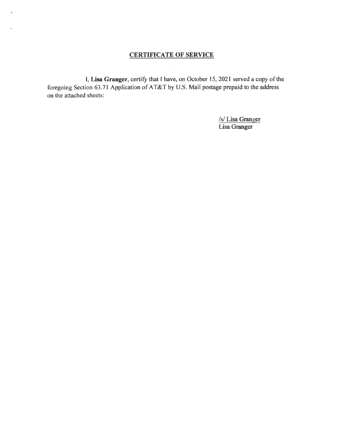# **CERTIFICATE OF SERVICE**

¥

l, **Lisa Granger,** certify that I have, on October 15, 2021 served a copy of the foregoing Section 63.71 Application of AT&T by U.S. Mail postage prepaid to the address on the attached sheets:

> /s/ Lisa Granger Lisa Granger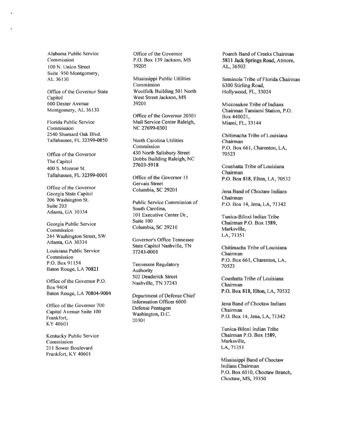Alabama Public Service Commission 100 N. Union Street Suite 950 Montgomery, AL 36130

Office of the Governor State Capitol 600 Dexter A venue Montgomery, AL 36130

Florida Public Service Commission 2540 Shumard Oak Blvd. Tallahassee, FL 32399-0850

Office of the Governor The Capitol 400 S. Monroe St. Tallahassee, FL **32399-0001** 

Office of the Governor Georgia State Capitol 206 Washington St. Suite 203 Atlanta, GA 30334

Georgia Public Service Commission 244 Washington Street, SW Atlanta, GA 30334

Louisiana Public Service Commission P.O. Box 91154 Baton Rouge, LA 70821

Office of the Governor P.O. Box 9404 Baton Rouge, LA 70804-9004

Office of the Governor 700 Capital Avenue Suite 100 Frankfort, KY 40601

Kentucky Public Service Commission 211 Sower Boulevard Frankfort, KY 4060 I

Office of the Governor P.O. Box 139 Jackson, MS 39205

Mississippi Public Utilities Commission Woolfolk Building 501 North West Street Jackson, MS 39201

Office of the Governor 20301 Mail Service Center Raleigh, NC 27699-0301

North Carolina Utilities Commission 430 North Salisbury Street Dobbs Building Raleigh, NC **27603-5918** 

Office of the Governor 11 Gervais Street Columbia, SC 29201

Public Service Commission of South Carolina, 101 Executive Center Dr., Suite 100 Columbia, SC 29210

Governor's Office Tennessee State Capitol Nashville, TN 37243-0001

Tennessee Regulatory Authority 502 Deaderick Street Nashville, TN 37243

Department of Defense Chief Information Officer 6000 Defense Pentagon Washington, D.C. 20301

Poarch Band of Creeks Chairman **5811 Jack Springs Road,** Atmore, AL, 36502

Seminole Tribe of Florida Chairman 6300 Stirling Road, Hollywood, FL, 33024

Miccosukee Tribe of Indians Chairman Tamiami Station, P.O. Box 440021, **Miami,** FL, 33144

Chitimacha Tribe of Louisiana Chairman P.O. Box 661, Charenton, LA, 70523

Coushatta Tribe of Louisiana Chairman P.O. Box **818,** Elton, LA, 70532

Jena Band of Choctaw Indians Chairman P.O. Box 14, Jena, LA, 71342

Tunica-Biloxi Indian Tribe Chairman P.O. Box **1589,**  Marksville, LA, 71351

Chitimacha Tribe of Louisiana Chairman P.O. Box 661, Charenton, LA, 70523

Coushatta Tribe of Louisiana Chairman P.O. Box **818,** Elton, LA, 70532

Jena Band of Choctaw Indians Chairman P.O. Box 14, Jena, LA, 71342

Tunica-Biloxi Indian Tribe Chairman P.O. Box **1589,**  Marksville, LA, 71351

Mississippi Band of Choctaw Indians Chairman P.O. Box 6010, Choctaw Branch, Choctaw, MS, 39350